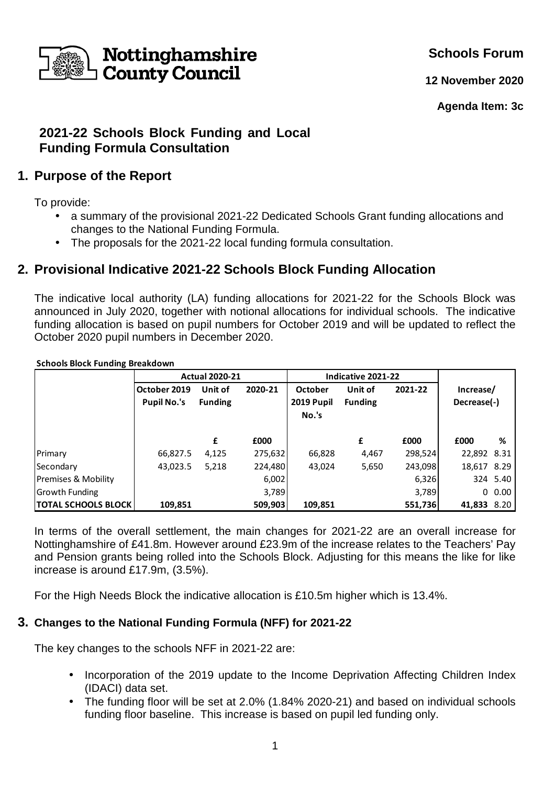

**Schools Forum**

**12 November 2020**

**Agenda Item: 3c** 

# **2021-22 Schools Block Funding and Local Funding Formula Consultation**

# **1. Purpose of the Report**

To provide:

- a summary of the provisional 2021-22 Dedicated Schools Grant funding allocations and changes to the National Funding Formula.
- The proposals for the 2021-22 local funding formula consultation.

# **2. Provisional Indicative 2021-22 Schools Block Funding Allocation**

The indicative local authority (LA) funding allocations for 2021-22 for the Schools Block was announced in July 2020, together with notional allocations for individual schools. The indicative funding allocation is based on pupil numbers for October 2019 and will be updated to reflect the October 2020 pupil numbers in December 2020.

#### **Schools Block Funding Breakdown**

|                       | <b>Actual 2020-21</b> |                |         | Indicative 2021-22 |                |         |             |           |
|-----------------------|-----------------------|----------------|---------|--------------------|----------------|---------|-------------|-----------|
|                       | October 2019          | Unit of        | 2020-21 | October            | Unit of        | 2021-22 | Increase/   |           |
|                       | <b>Pupil No.'s</b>    | <b>Funding</b> |         | 2019 Pupil         | <b>Funding</b> |         | Decrease(-) |           |
|                       |                       |                |         | No.'s              |                |         |             |           |
|                       |                       |                |         |                    |                |         |             |           |
|                       |                       | £              | £000    |                    | £              | £000    | £000        | %         |
| Primary               | 66,827.5              | 4,125          | 275,632 | 66,828             | 4,467          | 298,524 | 22,892 8.31 |           |
| Secondary             | 43,023.5              | 5,218          | 224,480 | 43,024             | 5,650          | 243,098 | 18,617 8.29 |           |
| Premises & Mobility   |                       |                | 6,002   |                    |                | 6,326   |             | 324 5.40  |
| <b>Growth Funding</b> |                       |                | 3,789   |                    |                | 3,789   |             | $0\,0.00$ |
| TOTAL SCHOOLS BLOCK   | 109,851               |                | 509,903 | 109,851            |                | 551,736 | 41,833 8.20 |           |

In terms of the overall settlement, the main changes for 2021-22 are an overall increase for Nottinghamshire of £41.8m. However around £23.9m of the increase relates to the Teachers' Pay and Pension grants being rolled into the Schools Block. Adjusting for this means the like for like increase is around £17.9m, (3.5%).

For the High Needs Block the indicative allocation is £10.5m higher which is 13.4%.

#### **3. Changes to the National Funding Formula (NFF) for 2021-22**

The key changes to the schools NFF in 2021-22 are:

- Incorporation of the 2019 update to the Income Deprivation Affecting Children Index (IDACI) data set.
- The funding floor will be set at 2.0% (1.84% 2020-21) and based on individual schools funding floor baseline. This increase is based on pupil led funding only.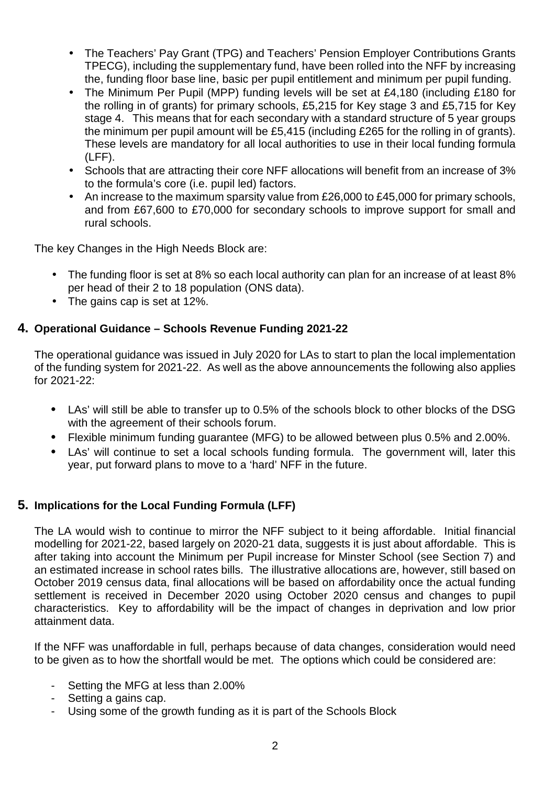- The Teachers' Pay Grant (TPG) and Teachers' Pension Employer Contributions Grants TPECG), including the supplementary fund, have been rolled into the NFF by increasing the, funding floor base line, basic per pupil entitlement and minimum per pupil funding.
- The Minimum Per Pupil (MPP) funding levels will be set at £4,180 (including £180 for the rolling in of grants) for primary schools, £5,215 for Key stage 3 and £5,715 for Key stage 4. This means that for each secondary with a standard structure of 5 year groups the minimum per pupil amount will be £5,415 (including £265 for the rolling in of grants). These levels are mandatory for all local authorities to use in their local funding formula (LFF).
- Schools that are attracting their core NFF allocations will benefit from an increase of 3% to the formula's core (i.e. pupil led) factors.
- An increase to the maximum sparsity value from £26,000 to £45,000 for primary schools, and from £67,600 to £70,000 for secondary schools to improve support for small and rural schools.

The key Changes in the High Needs Block are:

- The funding floor is set at 8% so each local authority can plan for an increase of at least 8% per head of their 2 to 18 population (ONS data).
- The gains cap is set at 12%.

#### **4. Operational Guidance – Schools Revenue Funding 2021-22**

The operational guidance was issued in July 2020 for LAs to start to plan the local implementation of the funding system for 2021-22. As well as the above announcements the following also applies for 2021-22:

- LAs' will still be able to transfer up to 0.5% of the schools block to other blocks of the DSG with the agreement of their schools forum.
- Flexible minimum funding guarantee (MFG) to be allowed between plus 0.5% and 2.00%.
- LAs' will continue to set a local schools funding formula. The government will, later this year, put forward plans to move to a 'hard' NFF in the future.

#### **5. Implications for the Local Funding Formula (LFF)**

The LA would wish to continue to mirror the NFF subject to it being affordable. Initial financial modelling for 2021-22, based largely on 2020-21 data, suggests it is just about affordable. This is after taking into account the Minimum per Pupil increase for Minster School (see Section 7) and an estimated increase in school rates bills. The illustrative allocations are, however, still based on October 2019 census data, final allocations will be based on affordability once the actual funding settlement is received in December 2020 using October 2020 census and changes to pupil characteristics. Key to affordability will be the impact of changes in deprivation and low prior attainment data.

If the NFF was unaffordable in full, perhaps because of data changes, consideration would need to be given as to how the shortfall would be met. The options which could be considered are:

- Setting the MFG at less than 2.00%
- Setting a gains cap.
- Using some of the growth funding as it is part of the Schools Block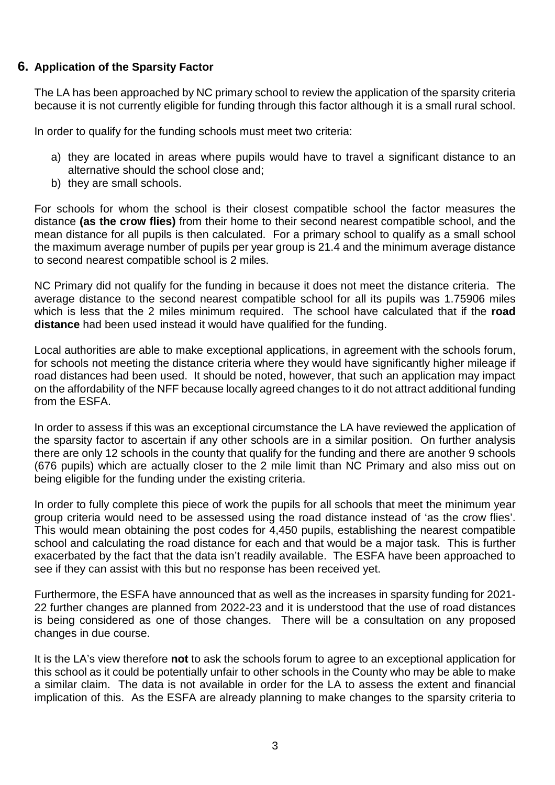#### **6. Application of the Sparsity Factor**

The LA has been approached by NC primary school to review the application of the sparsity criteria because it is not currently eligible for funding through this factor although it is a small rural school.

In order to qualify for the funding schools must meet two criteria:

- a) they are located in areas where pupils would have to travel a significant distance to an alternative should the school close and;
- b) they are small schools.

For schools for whom the school is their closest compatible school the factor measures the distance **(as the crow flies)** from their home to their second nearest compatible school, and the mean distance for all pupils is then calculated. For a primary school to qualify as a small school the maximum average number of pupils per year group is 21.4 and the minimum average distance to second nearest compatible school is 2 miles.

NC Primary did not qualify for the funding in because it does not meet the distance criteria. The average distance to the second nearest compatible school for all its pupils was 1.75906 miles which is less that the 2 miles minimum required. The school have calculated that if the **road distance** had been used instead it would have qualified for the funding.

Local authorities are able to make exceptional applications, in agreement with the schools forum, for schools not meeting the distance criteria where they would have significantly higher mileage if road distances had been used. It should be noted, however, that such an application may impact on the affordability of the NFF because locally agreed changes to it do not attract additional funding from the ESFA.

In order to assess if this was an exceptional circumstance the LA have reviewed the application of the sparsity factor to ascertain if any other schools are in a similar position. On further analysis there are only 12 schools in the county that qualify for the funding and there are another 9 schools (676 pupils) which are actually closer to the 2 mile limit than NC Primary and also miss out on being eligible for the funding under the existing criteria.

In order to fully complete this piece of work the pupils for all schools that meet the minimum year group criteria would need to be assessed using the road distance instead of 'as the crow flies'. This would mean obtaining the post codes for 4,450 pupils, establishing the nearest compatible school and calculating the road distance for each and that would be a major task. This is further exacerbated by the fact that the data isn't readily available. The ESFA have been approached to see if they can assist with this but no response has been received yet.

Furthermore, the ESFA have announced that as well as the increases in sparsity funding for 2021- 22 further changes are planned from 2022-23 and it is understood that the use of road distances is being considered as one of those changes. There will be a consultation on any proposed changes in due course.

It is the LA's view therefore **not** to ask the schools forum to agree to an exceptional application for this school as it could be potentially unfair to other schools in the County who may be able to make a similar claim. The data is not available in order for the LA to assess the extent and financial implication of this. As the ESFA are already planning to make changes to the sparsity criteria to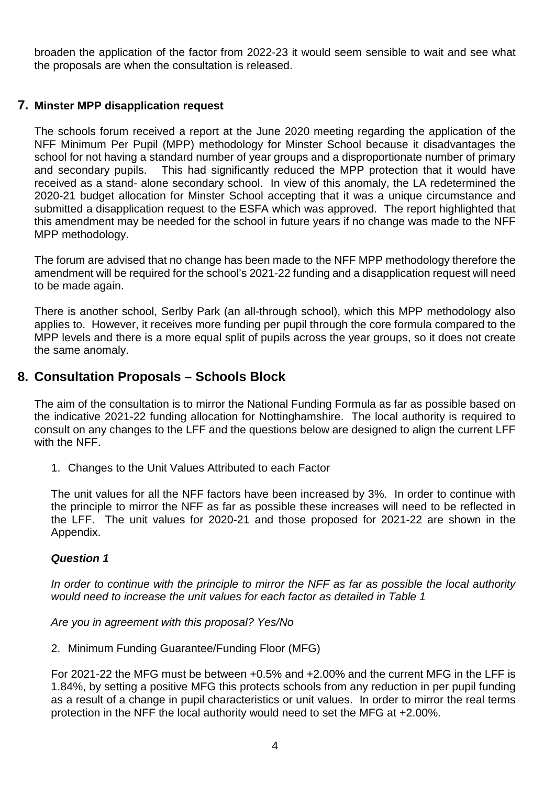broaden the application of the factor from 2022-23 it would seem sensible to wait and see what the proposals are when the consultation is released.

#### **7. Minster MPP disapplication request**

The schools forum received a report at the June 2020 meeting regarding the application of the NFF Minimum Per Pupil (MPP) methodology for Minster School because it disadvantages the school for not having a standard number of year groups and a disproportionate number of primary and secondary pupils. This had significantly reduced the MPP protection that it would have received as a stand- alone secondary school. In view of this anomaly, the LA redetermined the 2020-21 budget allocation for Minster School accepting that it was a unique circumstance and submitted a disapplication request to the ESFA which was approved. The report highlighted that this amendment may be needed for the school in future years if no change was made to the NFF MPP methodology.

The forum are advised that no change has been made to the NFF MPP methodology therefore the amendment will be required for the school's 2021-22 funding and a disapplication request will need to be made again.

There is another school, Serlby Park (an all-through school), which this MPP methodology also applies to. However, it receives more funding per pupil through the core formula compared to the MPP levels and there is a more equal split of pupils across the year groups, so it does not create the same anomaly.

## **8. Consultation Proposals – Schools Block**

The aim of the consultation is to mirror the National Funding Formula as far as possible based on the indicative 2021-22 funding allocation for Nottinghamshire. The local authority is required to consult on any changes to the LFF and the questions below are designed to align the current LFF with the NFF.

1. Changes to the Unit Values Attributed to each Factor

The unit values for all the NFF factors have been increased by 3%. In order to continue with the principle to mirror the NFF as far as possible these increases will need to be reflected in the LFF. The unit values for 2020-21 and those proposed for 2021-22 are shown in the Appendix.

#### **Question 1**

In order to continue with the principle to mirror the NFF as far as possible the local authority would need to increase the unit values for each factor as detailed in Table 1

Are you in agreement with this proposal? Yes/No

2. Minimum Funding Guarantee/Funding Floor (MFG)

For 2021-22 the MFG must be between +0.5% and +2.00% and the current MFG in the LFF is 1.84%, by setting a positive MFG this protects schools from any reduction in per pupil funding as a result of a change in pupil characteristics or unit values. In order to mirror the real terms protection in the NFF the local authority would need to set the MFG at +2.00%.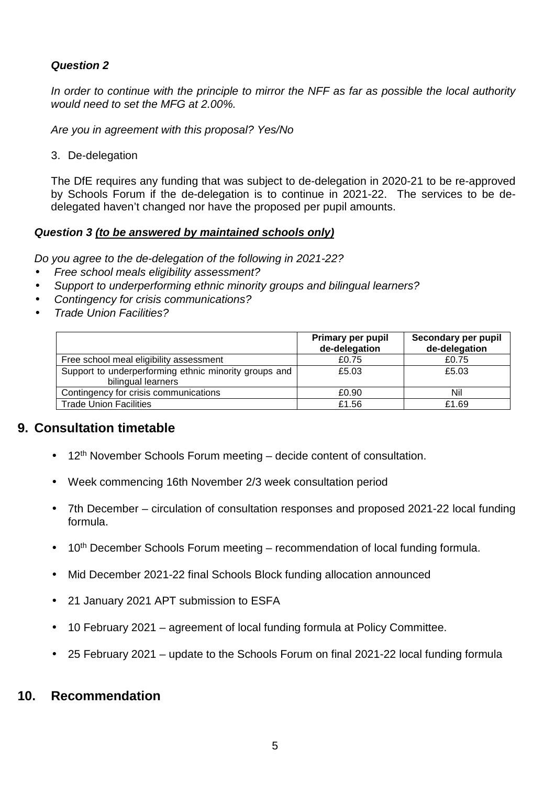### **Question 2**

In order to continue with the principle to mirror the NFF as far as possible the local authority would need to set the MFG at 2.00%.

Are you in agreement with this proposal? Yes/No

3. De-delegation

The DfE requires any funding that was subject to de-delegation in 2020-21 to be re-approved by Schools Forum if the de-delegation is to continue in 2021-22. The services to be dedelegated haven't changed nor have the proposed per pupil amounts.

#### **Question 3 (to be answered by maintained schools only)**

Do you agree to the de-delegation of the following in 2021-22?

- Free school meals eligibility assessment?
- Support to underperforming ethnic minority groups and bilingual learners?
- Contingency for crisis communications?
- Trade Union Facilities?

|                                                                             | <b>Primary per pupil</b><br>de-delegation | Secondary per pupil<br>de-delegation |
|-----------------------------------------------------------------------------|-------------------------------------------|--------------------------------------|
| Free school meal eligibility assessment                                     | £0.75                                     | £0.75                                |
| Support to underperforming ethnic minority groups and<br>bilingual learners | £5.03                                     | £5.03                                |
| Contingency for crisis communications                                       | £0.90                                     | Nil                                  |
| <b>Trade Union Facilities</b>                                               | £1.56                                     | £1.69                                |

#### **9. Consultation timetable**

- $\bullet$  12<sup>th</sup> November Schools Forum meeting decide content of consultation.
- Week commencing 16th November 2/3 week consultation period
- 7th December circulation of consultation responses and proposed 2021-22 local funding formula.
- 10<sup>th</sup> December Schools Forum meeting recommendation of local funding formula.
- Mid December 2021-22 final Schools Block funding allocation announced
- 21 January 2021 APT submission to ESFA
- 10 February 2021 agreement of local funding formula at Policy Committee.
- 25 February 2021 update to the Schools Forum on final 2021-22 local funding formula

### **10. Recommendation**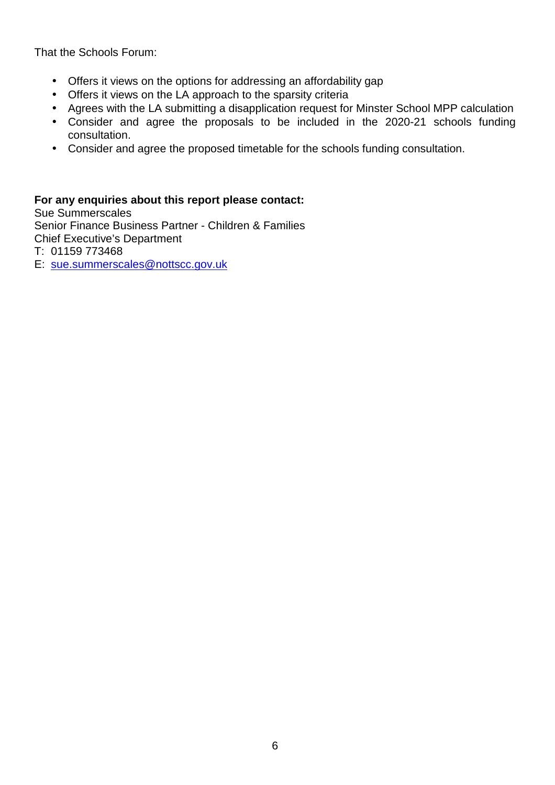That the Schools Forum:

- Offers it views on the options for addressing an affordability gap
- Offers it views on the LA approach to the sparsity criteria
- Agrees with the LA submitting a disapplication request for Minster School MPP calculation
- Consider and agree the proposals to be included in the 2020-21 schools funding consultation.
- Consider and agree the proposed timetable for the schools funding consultation.

### **For any enquiries about this report please contact:**

Sue Summerscales Senior Finance Business Partner - Children & Families Chief Executive's Department T: 01159 773468

E: sue.summerscales@nottscc.gov.uk